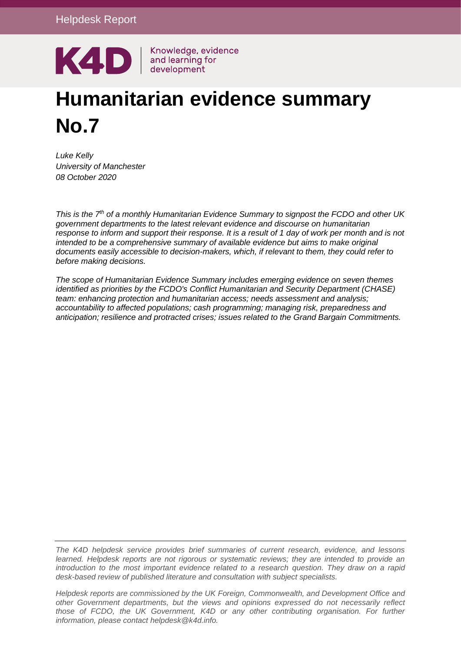

# **Humanitarian evidence summary No.7**

*Luke Kelly University of Manchester 08 October 2020*

*This is the 7th of a monthly Humanitarian Evidence Summary to signpost the FCDO and other UK government departments to the latest relevant evidence and discourse on humanitarian response to inform and support their response. It is a result of 1 day of work per month and is not intended to be a comprehensive summary of available evidence but aims to make original documents easily accessible to decision-makers, which, if relevant to them, they could refer to before making decisions.*

*The scope of Humanitarian Evidence Summary includes emerging evidence on seven themes identified as priorities by the FCDO's Conflict Humanitarian and Security Department (CHASE) team: enhancing protection and humanitarian access; needs assessment and analysis; accountability to affected populations; cash programming; managing risk, preparedness and anticipation; resilience and protracted crises; issues related to the Grand Bargain Commitments.*

*The K4D helpdesk service provides brief summaries of current research, evidence, and lessons learned. Helpdesk reports are not rigorous or systematic reviews; they are intended to provide an introduction to the most important evidence related to a research question. They draw on a rapid desk-based review of published literature and consultation with subject specialists.* 

*Helpdesk reports are commissioned by the UK Foreign, Commonwealth, and Development Office and other Government departments, but the views and opinions expressed do not necessarily reflect*  those of FCDO, the UK Government, K4D or any other contributing organisation. For further *information, please contact helpdesk@k4d.info.*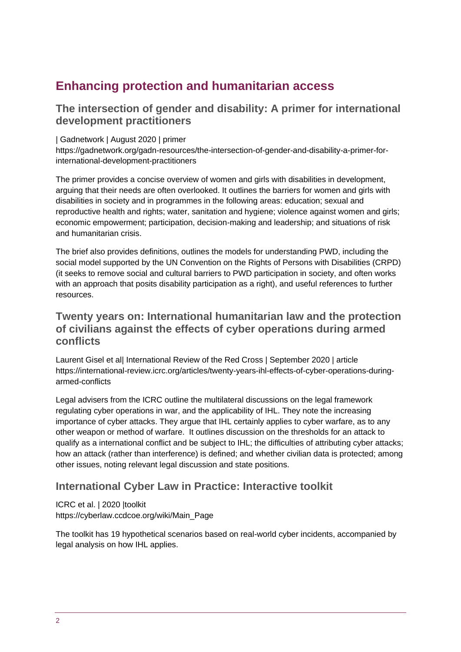# **Enhancing protection and humanitarian access**

### **The intersection of gender and disability: A primer for international development practitioners**

| Gadnetwork | August 2020 | primer

https://gadnetwork.org/gadn-resources/the-intersection-of-gender-and-disability-a-primer-forinternational-development-practitioners

The primer provides a concise overview of women and girls with disabilities in development, arguing that their needs are often overlooked. It outlines the barriers for women and girls with disabilities in society and in programmes in the following areas: education; sexual and reproductive health and rights; water, sanitation and hygiene; violence against women and girls; economic empowerment; participation, decision-making and leadership; and situations of risk and humanitarian crisis.

The brief also provides definitions, outlines the models for understanding PWD, including the social model supported by the UN Convention on the Rights of Persons with Disabilities (CRPD) (it seeks to remove social and cultural barriers to PWD participation in society, and often works with an approach that posits disability participation as a right), and useful references to further resources.

### **Twenty years on: International humanitarian law and the protection of civilians against the effects of cyber operations during armed conflicts**

Laurent Gisel et al| International Review of the Red Cross | September 2020 | article https://international-review.icrc.org/articles/twenty-years-ihl-effects-of-cyber-operations-duringarmed-conflicts

Legal advisers from the ICRC outline the multilateral discussions on the legal framework regulating cyber operations in war, and the applicability of IHL. They note the increasing importance of cyber attacks. They argue that IHL certainly applies to cyber warfare, as to any other weapon or method of warfare. It outlines discussion on the thresholds for an attack to qualify as a international conflict and be subject to IHL; the difficulties of attributing cyber attacks; how an attack (rather than interference) is defined; and whether civilian data is protected; among other issues, noting relevant legal discussion and state positions.

#### **International Cyber Law in Practice: Interactive toolkit**

ICRC et al. | 2020 |toolkit https://cyberlaw.ccdcoe.org/wiki/Main\_Page

The toolkit has 19 hypothetical scenarios based on real-world cyber incidents, accompanied by legal analysis on how IHL applies.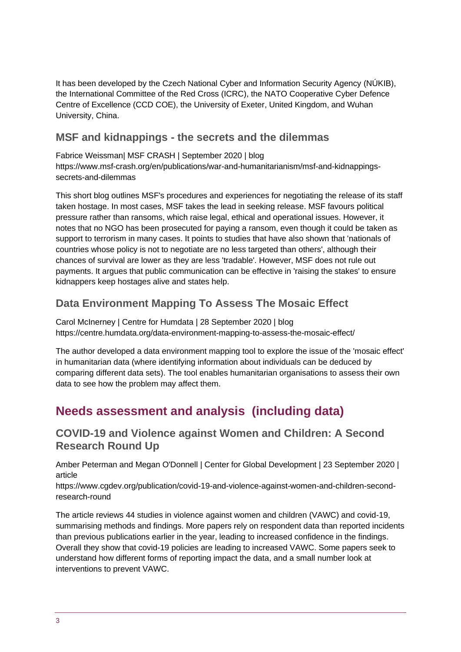It has been developed by the Czech National Cyber and Information Security Agency (NÚKIB), the International Committee of the Red Cross (ICRC), the NATO Cooperative Cyber Defence Centre of Excellence (CCD COE), the University of Exeter, United Kingdom, and Wuhan University, China.

### **MSF and kidnappings - the secrets and the dilemmas**

Fabrice Weissman| MSF CRASH | September 2020 | blog https://www.msf-crash.org/en/publications/war-and-humanitarianism/msf-and-kidnappingssecrets-and-dilemmas

This short blog outlines MSF's procedures and experiences for negotiating the release of its staff taken hostage. In most cases, MSF takes the lead in seeking release. MSF favours political pressure rather than ransoms, which raise legal, ethical and operational issues. However, it notes that no NGO has been prosecuted for paying a ransom, even though it could be taken as support to terrorism in many cases. It points to studies that have also shown that 'nationals of countries whose policy is not to negotiate are no less targeted than others', although their chances of survival are lower as they are less 'tradable'. However, MSF does not rule out payments. It argues that public communication can be effective in 'raising the stakes' to ensure kidnappers keep hostages alive and states help.

## **Data Environment Mapping To Assess The Mosaic Effect**

Carol McInerney | Centre for Humdata | 28 September 2020 | blog https://centre.humdata.org/data-environment-mapping-to-assess-the-mosaic-effect/

The author developed a data environment mapping tool to explore the issue of the 'mosaic effect' in humanitarian data (where identifying information about individuals can be deduced by comparing different data sets). The tool enables humanitarian organisations to assess their own data to see how the problem may affect them.

# **Needs assessment and analysis (including data)**

**COVID-19 and Violence against Women and Children: A Second Research Round Up**

Amber Peterman and Megan O'Donnell | Center for Global Development | 23 September 2020 | article

https://www.cgdev.org/publication/covid-19-and-violence-against-women-and-children-secondresearch-round

The article reviews 44 studies in violence against women and children (VAWC) and covid-19, summarising methods and findings. More papers rely on respondent data than reported incidents than previous publications earlier in the year, leading to increased confidence in the findings. Overall they show that covid-19 policies are leading to increased VAWC. Some papers seek to understand how different forms of reporting impact the data, and a small number look at interventions to prevent VAWC.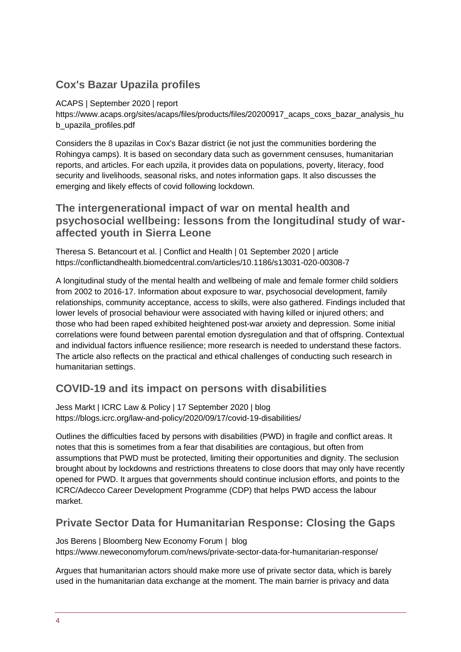# **Cox's Bazar Upazila profiles**

#### ACAPS | September 2020 | report

https://www.acaps.org/sites/acaps/files/products/files/20200917\_acaps\_coxs\_bazar\_analysis\_hu b\_upazila\_profiles.pdf

Considers the 8 upazilas in Cox's Bazar district (ie not just the communities bordering the Rohingya camps). It is based on secondary data such as government censuses, humanitarian reports, and articles. For each upzila, it provides data on populations, poverty, literacy, food security and livelihoods, seasonal risks, and notes information gaps. It also discusses the emerging and likely effects of covid following lockdown.

#### **The intergenerational impact of war on mental health and psychosocial wellbeing: lessons from the longitudinal study of waraffected youth in Sierra Leone**

Theresa S. Betancourt et al. | Conflict and Health | 01 September 2020 | article https://conflictandhealth.biomedcentral.com/articles/10.1186/s13031-020-00308-7

A longitudinal study of the mental health and wellbeing of male and female former child soldiers from 2002 to 2016-17. Information about exposure to war, psychosocial development, family relationships, community acceptance, access to skills, were also gathered. Findings included that lower levels of prosocial behaviour were associated with having killed or injured others; and those who had been raped exhibited heightened post-war anxiety and depression. Some initial correlations were found between parental emotion dysregulation and that of offspring. Contextual and individual factors influence resilience; more research is needed to understand these factors. The article also reflects on the practical and ethical challenges of conducting such research in humanitarian settings.

## **COVID-19 and its impact on persons with disabilities**

Jess Markt | ICRC Law & Policy | 17 September 2020 | blog https://blogs.icrc.org/law-and-policy/2020/09/17/covid-19-disabilities/

Outlines the difficulties faced by persons with disabilities (PWD) in fragile and conflict areas. It notes that this is sometimes from a fear that disabilities are contagious, but often from assumptions that PWD must be protected, limiting their opportunities and dignity. The seclusion brought about by lockdowns and restrictions threatens to close doors that may only have recently opened for PWD. It argues that governments should continue inclusion efforts, and points to the ICRC/Adecco Career Development Programme (CDP) that helps PWD access the labour market.

## **Private Sector Data for Humanitarian Response: Closing the Gaps**

Jos Berens | Bloomberg New Economy Forum | blog https://www.neweconomyforum.com/news/private-sector-data-for-humanitarian-response/

Argues that humanitarian actors should make more use of private sector data, which is barely used in the humanitarian data exchange at the moment. The main barrier is privacy and data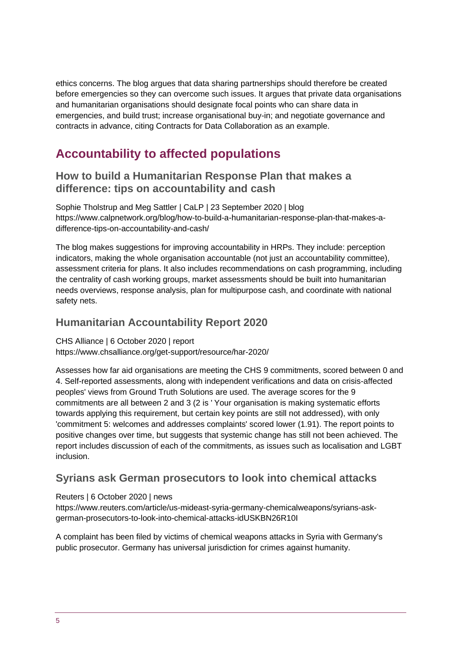ethics concerns. The blog argues that data sharing partnerships should therefore be created before emergencies so they can overcome such issues. It argues that private data organisations and humanitarian organisations should designate focal points who can share data in emergencies, and build trust; increase organisational buy-in; and negotiate governance and contracts in advance, citing Contracts for Data Collaboration as an example.

# **Accountability to affected populations**

#### **How to build a Humanitarian Response Plan that makes a difference: tips on accountability and cash**

Sophie Tholstrup and Meg Sattler | CaLP | 23 September 2020 | blog https://www.calpnetwork.org/blog/how-to-build-a-humanitarian-response-plan-that-makes-adifference-tips-on-accountability-and-cash/

The blog makes suggestions for improving accountability in HRPs. They include: perception indicators, making the whole organisation accountable (not just an accountability committee), assessment criteria for plans. It also includes recommendations on cash programming, including the centrality of cash working groups, market assessments should be built into humanitarian needs overviews, response analysis, plan for multipurpose cash, and coordinate with national safety nets.

#### **Humanitarian Accountability Report 2020**

CHS Alliance | 6 October 2020 | report https://www.chsalliance.org/get-support/resource/har-2020/

Assesses how far aid organisations are meeting the CHS 9 commitments, scored between 0 and 4. Self-reported assessments, along with independent verifications and data on crisis-affected peoples' views from Ground Truth Solutions are used. The average scores for the 9 commitments are all between 2 and 3 (2 is ' Your organisation is making systematic efforts towards applying this requirement, but certain key points are still not addressed), with only 'commitment 5: welcomes and addresses complaints' scored lower (1.91). The report points to positive changes over time, but suggests that systemic change has still not been achieved. The report includes discussion of each of the commitments, as issues such as localisation and LGBT inclusion.

## **Syrians ask German prosecutors to look into chemical attacks**

#### Reuters | 6 October 2020 | news

https://www.reuters.com/article/us-mideast-syria-germany-chemicalweapons/syrians-askgerman-prosecutors-to-look-into-chemical-attacks-idUSKBN26R10I

A complaint has been filed by victims of chemical weapons attacks in Syria with Germany's public prosecutor. Germany has universal jurisdiction for crimes against humanity.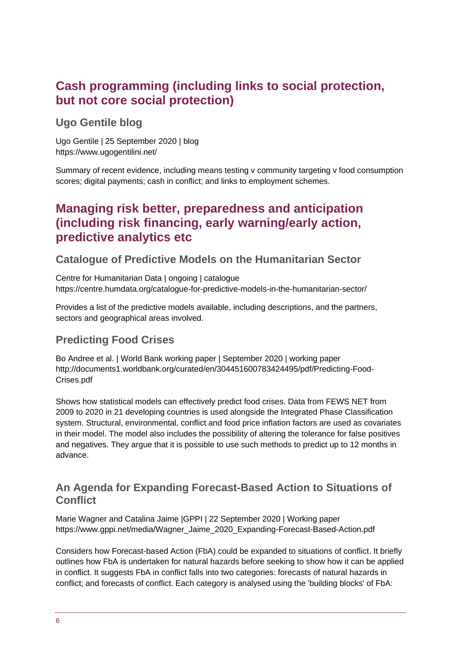# **Cash programming (including links to social protection, but not core social protection)**

**Ugo Gentile blog**

Ugo Gentile | 25 September 2020 | blog https://www.ugogentilini.net/

Summary of recent evidence, including means testing v community targeting v food consumption scores; digital payments; cash in conflict; and links to employment schemes.

# **Managing risk better, preparedness and anticipation (including risk financing, early warning/early action, predictive analytics etc**

## **Catalogue of Predictive Models on the Humanitarian Sector**

Centre for Humanitarian Data | ongoing | catalogue https://centre.humdata.org/catalogue-for-predictive-models-in-the-humanitarian-sector/

Provides a list of the predictive models available, including descriptions, and the partners, sectors and geographical areas involved.

## **Predicting Food Crises**

Bo Andree et al. | World Bank working paper | September 2020 | working paper http://documents1.worldbank.org/curated/en/304451600783424495/pdf/Predicting-Food-Crises.pdf

Shows how statistical models can effectively predict food crises. Data from FEWS NET from 2009 to 2020 in 21 developing countries is used alongside the Integrated Phase Classification system. Structural, environmental, conflict and food price inflation factors are used as covariates in their model. The model also includes the possibility of altering the tolerance for false positives and negatives. They argue that it is possible to use such methods to predict up to 12 months in advance.

## **An Agenda for Expanding Forecast-Based Action to Situations of Conflict**

Marie Wagner and Catalina Jaime |GPPI | 22 September 2020 | Working paper https://www.gppi.net/media/Wagner\_Jaime\_2020\_Expanding-Forecast-Based-Action.pdf

Considers how Forecast-based Action (FbA) could be expanded to situations of conflict. It briefly outlines how FbA is undertaken for natural hazards before seeking to show how it can be applied in conflict. It suggests FbA in conflict falls into two categories: forecasts of natural hazards in conflict; and forecasts of conflict. Each category is analysed using the 'building blocks' of FbA: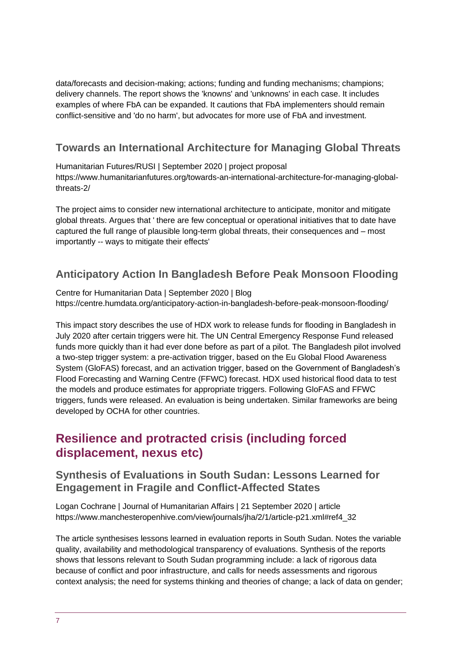data/forecasts and decision-making; actions; funding and funding mechanisms; champions; delivery channels. The report shows the 'knowns' and 'unknowns' in each case. It includes examples of where FbA can be expanded. It cautions that FbA implementers should remain conflict-sensitive and 'do no harm', but advocates for more use of FbA and investment.

## **Towards an International Architecture for Managing Global Threats**

Humanitarian Futures/RUSI | September 2020 | project proposal https://www.humanitarianfutures.org/towards-an-international-architecture-for-managing-globalthreats-2/

The project aims to consider new international architecture to anticipate, monitor and mitigate global threats. Argues that ' there are few conceptual or operational initiatives that to date have captured the full range of plausible long-term global threats, their consequences and – most importantly -- ways to mitigate their effects'

## **Anticipatory Action In Bangladesh Before Peak Monsoon Flooding**

Centre for Humanitarian Data | September 2020 | Blog https://centre.humdata.org/anticipatory-action-in-bangladesh-before-peak-monsoon-flooding/

This impact story describes the use of HDX work to release funds for flooding in Bangladesh in July 2020 after certain triggers were hit. The UN Central Emergency Response Fund released funds more quickly than it had ever done before as part of a pilot. The Bangladesh pilot involved a two-step trigger system: a pre-activation trigger, based on the Eu Global Flood Awareness System (GloFAS) forecast, and an activation trigger, based on the Government of Bangladesh's Flood Forecasting and Warning Centre (FFWC) forecast. HDX used historical flood data to test the models and produce estimates for appropriate triggers. Following GloFAS and FFWC triggers, funds were released. An evaluation is being undertaken. Similar frameworks are being developed by OCHA for other countries.

# **Resilience and protracted crisis (including forced displacement, nexus etc)**

#### **Synthesis of Evaluations in South Sudan: Lessons Learned for Engagement in Fragile and Conflict-Affected States**

Logan Cochrane | Journal of Humanitarian Affairs | 21 September 2020 | article https://www.manchesteropenhive.com/view/journals/jha/2/1/article-p21.xml#ref4\_32

The article synthesises lessons learned in evaluation reports in South Sudan. Notes the variable quality, availability and methodological transparency of evaluations. Synthesis of the reports shows that lessons relevant to South Sudan programming include: a lack of rigorous data because of conflict and poor infrastructure, and calls for needs assessments and rigorous context analysis; the need for systems thinking and theories of change; a lack of data on gender;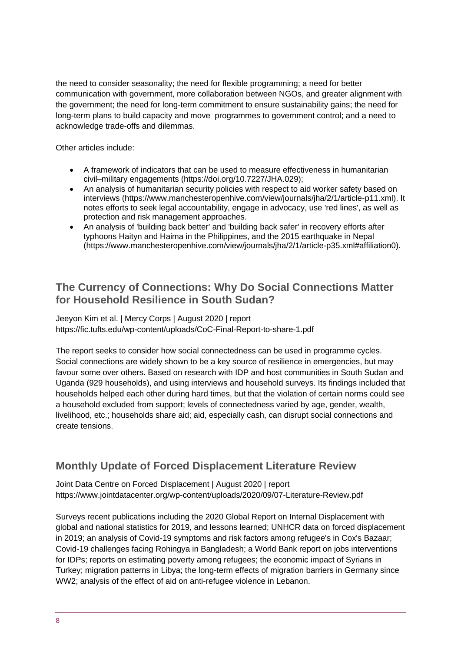the need to consider seasonality; the need for flexible programming; a need for better communication with government, more collaboration between NGOs, and greater alignment with the government; the need for long-term commitment to ensure sustainability gains; the need for long-term plans to build capacity and move programmes to government control; and a need to acknowledge trade-offs and dilemmas.

Other articles include:

- A framework of indicators that can be used to measure effectiveness in humanitarian civil–military engagements [\(https://doi.org/10.7227/JHA.029\)](https://doi.org/10.7227/JHA.029);
- An analysis of humanitarian security policies with respect to aid worker safety based on interviews (https://www.manchesteropenhive.com/view/journals/jha/2/1/article-p11.xml). It notes efforts to seek legal accountability, engage in advocacy, use 'red lines', as well as protection and risk management approaches.
- An analysis of 'building back better' and 'building back safer' in recovery efforts after typhoons Haityn and Haima in the Philippines, and the 2015 earthquake in Nepal (https://www.manchesteropenhive.com/view/journals/jha/2/1/article-p35.xml#affiliation0).

### **The Currency of Connections: Why Do Social Connections Matter for Household Resilience in South Sudan?**

Jeeyon Kim et al. | Mercy Corps | August 2020 | report https://fic.tufts.edu/wp-content/uploads/CoC-Final-Report-to-share-1.pdf

The report seeks to consider how social connectedness can be used in programme cycles. Social connections are widely shown to be a key source of resilience in emergencies, but may favour some over others. Based on research with IDP and host communities in South Sudan and Uganda (929 households), and using interviews and household surveys. Its findings included that households helped each other during hard times, but that the violation of certain norms could see a household excluded from support; levels of connectedness varied by age, gender, wealth, livelihood, etc.; households share aid; aid, especially cash, can disrupt social connections and create tensions.

## **Monthly Update of Forced Displacement Literature Review**

Joint Data Centre on Forced Displacement | August 2020 | report https://www.jointdatacenter.org/wp-content/uploads/2020/09/07-Literature-Review.pdf

Surveys recent publications including the 2020 Global Report on Internal Displacement with global and national statistics for 2019, and lessons learned; UNHCR data on forced displacement in 2019; an analysis of Covid-19 symptoms and risk factors among refugee's in Cox's Bazaar; Covid-19 challenges facing Rohingya in Bangladesh; a World Bank report on jobs interventions for IDPs; reports on estimating poverty among refugees; the economic impact of Syrians in Turkey; migration patterns in Libya; the long-term effects of migration barriers in Germany since WW2; analysis of the effect of aid on anti-refugee violence in Lebanon.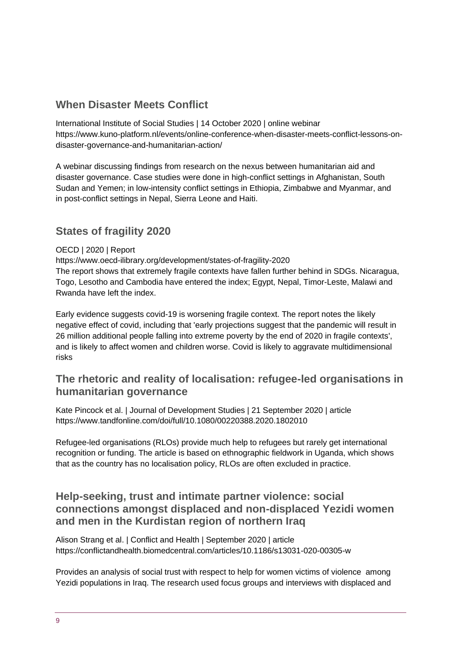# **When Disaster Meets Conflict**

International Institute of Social Studies | 14 October 2020 | online webinar https://www.kuno-platform.nl/events/online-conference-when-disaster-meets-conflict-lessons-ondisaster-governance-and-humanitarian-action/

A webinar discussing findings from research on the nexus between humanitarian aid and disaster governance. Case studies were done in high-conflict settings in Afghanistan, South Sudan and Yemen; in low-intensity conflict settings in Ethiopia, Zimbabwe and Myanmar, and in post-conflict settings in Nepal, Sierra Leone and Haiti.

## **States of fragility 2020**

#### OECD | 2020 | Report

https://www.oecd-ilibrary.org/development/states-of-fragility-2020 The report shows that extremely fragile contexts have fallen further behind in SDGs. Nicaragua, Togo, Lesotho and Cambodia have entered the index; Egypt, Nepal, Timor-Leste, Malawi and Rwanda have left the index.

Early evidence suggests covid-19 is worsening fragile context. The report notes the likely negative effect of covid, including that 'early projections suggest that the pandemic will result in 26 million additional people falling into extreme poverty by the end of 2020 in fragile contexts', and is likely to affect women and children worse. Covid is likely to aggravate multidimensional risks

### **The rhetoric and reality of localisation: refugee-led organisations in humanitarian governance**

Kate Pincock et al. | Journal of Development Studies | 21 September 2020 | article https://www.tandfonline.com/doi/full/10.1080/00220388.2020.1802010

Refugee-led organisations (RLOs) provide much help to refugees but rarely get international recognition or funding. The article is based on ethnographic fieldwork in Uganda, which shows that as the country has no localisation policy, RLOs are often excluded in practice.

#### **Help-seeking, trust and intimate partner violence: social connections amongst displaced and non-displaced Yezidi women and men in the Kurdistan region of northern Iraq**

Alison Strang et al. | Conflict and Health | September 2020 | article https://conflictandhealth.biomedcentral.com/articles/10.1186/s13031-020-00305-w

Provides an analysis of social trust with respect to help for women victims of violence among Yezidi populations in Iraq. The research used focus groups and interviews with displaced and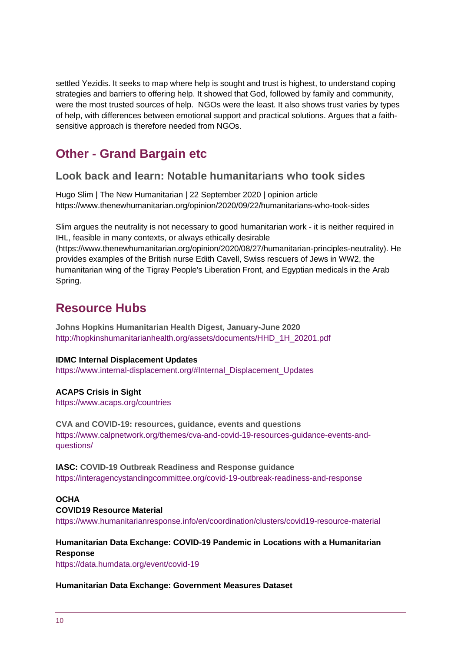settled Yezidis. It seeks to map where help is sought and trust is highest, to understand coping strategies and barriers to offering help. It showed that God, followed by family and community, were the most trusted sources of help. NGOs were the least. It also shows trust varies by types of help, with differences between emotional support and practical solutions. Argues that a faithsensitive approach is therefore needed from NGOs.

# **Other - Grand Bargain etc**

#### **Look back and learn: Notable humanitarians who took sides**

Hugo Slim | The New Humanitarian | 22 September 2020 | opinion article https://www.thenewhumanitarian.org/opinion/2020/09/22/humanitarians-who-took-sides

Slim argues the neutrality is not necessary to good humanitarian work - it is neither required in IHL, feasible in many contexts, or always ethically desirable

(https://www.thenewhumanitarian.org/opinion/2020/08/27/humanitarian-principles-neutrality). He provides examples of the British nurse Edith Cavell, Swiss rescuers of Jews in WW2, the humanitarian wing of the Tigray People's Liberation Front, and Egyptian medicals in the Arab Spring.

# **Resource Hubs**

**Johns Hopkins Humanitarian Health Digest, January-June 2020** [http://hopkinshumanitarianhealth.org/assets/documents/HHD\\_1H\\_20201.pdf](http://hopkinshumanitarianhealth.org/assets/documents/HHD_1H_20201.pdf)

#### **IDMC Internal Displacement Updates**

[https://www.internal-displacement.org/#Internal\\_Displacement\\_Updates](https://www.internal-displacement.org/#Internal_Displacement_Updates)

#### **ACAPS Crisis in Sight**

<https://www.acaps.org/countries>

**CVA and COVID-19: resources, guidance, events and questions** [https://www.calpnetwork.org/themes/cva-and-covid-19-resources-guidance-events-and](https://www.calpnetwork.org/themes/cva-and-covid-19-resources-guidance-events-and-questions/)[questions/](https://www.calpnetwork.org/themes/cva-and-covid-19-resources-guidance-events-and-questions/)

#### **IASC: COVID-19 Outbreak Readiness and Response guidance** <https://interagencystandingcommittee.org/covid-19-outbreak-readiness-and-response>

#### **OCHA**

#### **COVID19 Resource Material**

<https://www.humanitarianresponse.info/en/coordination/clusters/covid19-resource-material>

#### **Humanitarian Data Exchange: COVID-19 Pandemic in Locations with a Humanitarian Response**

<https://data.humdata.org/event/covid-19>

#### **Humanitarian Data Exchange: Government Measures Dataset**